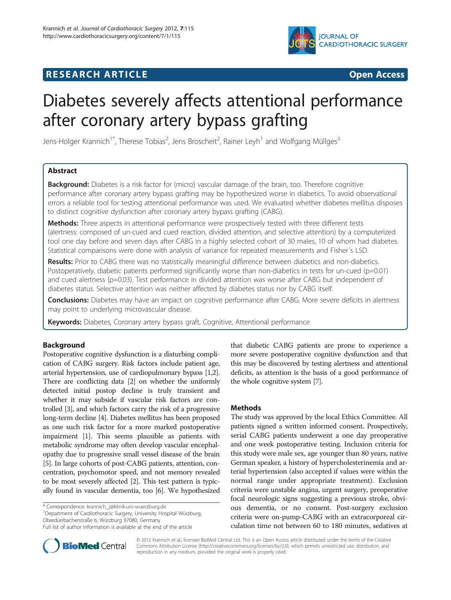

## **RESEARCH ARTICLE Example 2014 CONSUMING A RESEARCH ARTICLE**

# Diabetes severely affects attentional performance after coronary artery bypass grafting

Jens-Holger Krannich<sup>1\*</sup>, Therese Tobias<sup>2</sup>, Jens Broscheit<sup>2</sup>, Rainer Leyh<sup>1</sup> and Wolfgang Müllges<sup>3</sup>

## Abstract

**Background:** Diabetes is a risk factor for (micro) vascular damage of the brain, too. Therefore cognitive performance after coronary artery bypass grafting may be hypothesized worse in diabetics. To avoid observational errors a reliable tool for testing attentional performance was used. We evaluated whether diabetes mellitus disposes to distinct cognitive dysfunction after coronary artery bypass grafting (CABG).

Methods: Three aspects in attentional performance were prospectively tested with three different tests (alertness: composed of un-cued and cued reaction, divided attention, and selective attention) by a computerized tool one day before and seven days after CABG in a highly selected cohort of 30 males, 10 of whom had diabetes. Statistical comparisons were done with analysis of variance for repeated measurements and Fisher´s LSD.

Results: Prior to CABG there was no statistically meaningful difference between diabetics and non-diabetics. Postoperatively, diabetic patients performed significantly worse than non-diabetics in tests for un-cued (p=0.01) and cued alertness (p=0.03). Test performance in divided attention was worse after CABG but independent of diabetes status. Selective attention was neither affected by diabetes status nor by CABG itself.

**Conclusions:** Diabetes may have an impact on cognitive performance after CABG. More severe deficits in alertness may point to underlying microvascular disease.

Keywords: Diabetes, Coronary artery bypass graft, Cognitive, Attentional performance

## Background

Postoperative cognitive dysfunction is a disturbing complication of CABG surgery. Risk factors include patient age, arterial hypertension, use of cardiopulmonary bypass [[1,2](#page-3-0)]. There are conflicting data [\[2](#page-3-0)] on whether the uniformly detected initial postop decline is truly transient and whether it may subside if vascular risk factors are controlled [\[3\]](#page-3-0), and which factors carry the risk of a progressive long-term decline [\[4\]](#page-3-0). Diabetes mellitus has been proposed as one such risk factor for a more marked postoperative impairment [\[1\]](#page-3-0). This seems plausible as patients with metabolic syndrome may often develop vascular encephalopathy due to progressive small vessel disease of the brain [[5](#page-3-0)]. In large cohorts of post-CABG patients, attention, concentration, psychomotor speed, and not memory revealed to be most severely affected [\[2\]](#page-3-0). This test pattern is typically found in vascular dementia, too [\[6](#page-3-0)]. We hypothesized

\* Correspondence: [krannich\\_j@klinik.uni-wuerzburg.de](mailto:krannich_j@klinik.uni-wuerzburg.de) <sup>1</sup>

<sup>1</sup>Department of Cardiothoracic Surgery, University Hospital Würzburg, Oberdürrbacherstraße 6, Würzburg 97080, Germany



## **Methods**

The study was approved by the local Ethics Committee. All patients signed a written informed consent. Prospectively, serial CABG patients underwent a one day preoperative and one week postoperative testing. Inclusion criteria for this study were male sex, age younger than 80 years, native German speaker, a history of hypercholesterinemia and arterial hypertension (also accepted if values were within the normal range under appropriate treatment). Exclusion criteria were unstable angina, urgent surgery, preoperative focal neurologic signs suggesting a previous stroke, obvious dementia, or no consent. Post-surgery exclusion criteria were on-pump-CABG with an extracorporeal circulation time not between 60 to 180 minutes, sedatives at



© 2012 Krannich et al.; licensee BioMed Central Ltd. This is an Open Access article distributed under the terms of the Creative Commons Attribution License [\(http://creativecommons.org/licenses/by/2.0\)](http://creativecommons.org/licenses/by/2.0), which permits unrestricted use, distribution, and reproduction in any medium, provided the original work is properly cited.

Full list of author information is available at the end of the article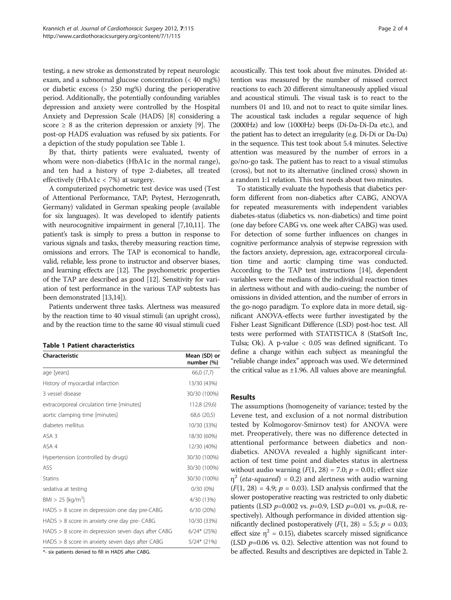testing, a new stroke as demonstrated by repeat neurologic exam, and a subnormal glucose concentration (< 40 mg%) or diabetic excess (> 250 mg%) during the perioperative period. Additionally, the potentially confounding variables depression and anxiety were controlled by the Hospital Anxiety and Depression Scale (HADS) [[8\]](#page-3-0) considering a score  $\geq 8$  as the criterion depression or anxiety [[9\]](#page-3-0). The post-op HADS evaluation was refused by six patients. For a depiction of the study population see Table 1.

By that, thirty patients were evaluated, twenty of whom were non-diabetics (HbA1c in the normal range), and ten had a history of type 2-diabetes, all treated effectively (HbA1c  $<$  7%) at surgery.

A computerized psychometric test device was used (Test of Attentional Performance, TAP; Psytest, Herzogenrath, Germany) validated in German speaking people (available for six languages). It was developed to identify patients with neurocognitive impairment in general [[7,10,11\]](#page-3-0). The patient's task is simply to press a button in response to various signals and tasks, thereby measuring reaction time, omissions and errors. The TAP is economical to handle, valid, reliable, less prone to instructor and observer biases, and learning effects are [\[12\]](#page-3-0). The psychometric properties of the TAP are described as good [[12](#page-3-0)]. Sensitivity for variation of test performance in the various TAP subtests has been demonstrated [\[13,14](#page-3-0)]).

Patients underwent three tasks. Alertness was measured by the reaction time to 40 visual stimuli (an upright cross), and by the reaction time to the same 40 visual stimuli cued

| <b>Table 1 Patient characteristics</b> |  |  |  |  |  |
|----------------------------------------|--|--|--|--|--|
|----------------------------------------|--|--|--|--|--|

| Characteristic                                       | Mean (SD) or<br>number (%) |
|------------------------------------------------------|----------------------------|
| age [years]                                          | 66,0 (7,7)                 |
| History of myocardial infarction                     | 13/30 (43%)                |
| 3 vessel disease                                     | 30/30 (100%)               |
| extracorporeal circulation time [minutes]            | 112,8 (29,6)               |
| aortic clamping time [minutes]                       | 68,6 (20,5)                |
| diabetes mellitus                                    | 10/30 (33%)                |
| ASA 3                                                | 18/30 (60%)                |
| ASA 4                                                | 12/30 (40%)                |
| Hypertension (controlled by drugs)                   | 30/30 (100%)               |
| ASS                                                  | 30/30 (100%)               |
| <b>Statins</b>                                       | 30/30 (100%)               |
| sedativa at testing                                  | $0/30(0\%)$                |
| $BM > 25$ [kg/m <sup>2</sup> ]                       | 4/30 (13%)                 |
| $HADS > 8$ score in depression one day pre-CABG      | 6/30 (20%)                 |
| $HADS > 8$ score in anxiety one day pre- $CABG$      | 10/30 (33%)                |
| $HADS > 8$ score in depression seven days after CABG | $6/24*(25%)$               |
| $HADS > 8$ score in anxiety seven days after CABG    | $5/24*(21%)$               |

\*- six patients denied to fill in HADS after CABG.

acoustically. This test took about five minutes. Divided attention was measured by the number of missed correct reactions to each 20 different simultaneously applied visual and acoustical stimuli. The visual task is to react to the numbers 01 and 10, and not to react to quite similar lines. The acoustical task includes a regular sequence of high (2000Hz) and low (1000Hz) beeps (Di-Da-Di-Da etc.), and the patient has to detect an irregularity (e.g. Di-Di or Da-Da) in the sequence. This test took about 5.4 minutes. Selective attention was measured by the number of errors in a go/no-go task. The patient has to react to a visual stimulus (cross), but not to its alternative (inclined cross) shown in a random 1:1 relation. This test needs about two minutes.

To statistically evaluate the hypothesis that diabetics perform different from non-diabetics after CABG, ANOVA for repeated measurements with independent variables diabetes-status (diabetics vs. non-diabetics) and time point (one day before CABG vs. one week after CABG) was used. For detection of some further influences on changes in cognitive performance analysis of stepwise regression with the factors anxiety, depression, age, extracorporeal circulation time and aortic clamping time was conducted. According to the TAP test instructions [\[14\]](#page-3-0), dependent variables were the medians of the individual reaction times in alertness without and with audio-cueing; the number of omissions in divided attention, and the number of errors in the go-nogo paradigm. To explore data in more detail, significant ANOVA-effects were further investigated by the Fisher Least Significant Difference (LSD) post-hoc test. All tests were performed with STATISTICA 8 (StatSoft Inc, Tulsa; Ok). A p-value < 0.05 was defined significant. To define a change within each subject as meaningful the "reliable change index" approach was used. We determined the critical value as  $\pm 1.96$ . All values above are meaningful.

#### Results

The assumptions (homogeneity of variance; tested by the Levene test, and exclusion of a not normal distribution tested by Kolmogorov-Smirnov test) for ANOVA were met. Preoperatively, there was no difference detected in attentional performance between diabetics and nondiabetics. ANOVA revealed a highly significant interaction of test time point and diabetes status in alertness without audio warning  $(F(1, 28) = 7.0; p = 0.01;$  effect size  $\eta^2$  (*eta-squared*) = 0.2) and alertness with audio warning  $(F(1, 28) = 4.9; p = 0.03)$ . LSD analysis confirmed that the slower postoperative reacting was restricted to only diabetic patients (LSD  $p=0.002$  vs.  $p=0.9$ , LSD  $p=0.01$  vs.  $p=0.8$ , respectively). Although performance in divided attention significantly declined postoperatively  $(F(1, 28) = 5.5; p = 0.03;$ effect size  $\eta^2$  = 0.15), diabetes scarcely missed significance (LSD  $p=0.06$  vs. 0.2). Selective attention was not found to be affected. Results and descriptives are depicted in Table [2](#page-2-0).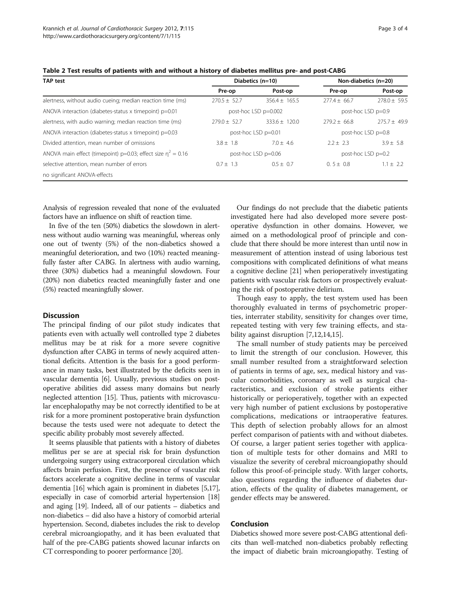| <b>TAP test</b>                                                |                      | Diabetics (n=10)  | Non-diabetics (n=20) |                  |
|----------------------------------------------------------------|----------------------|-------------------|----------------------|------------------|
|                                                                | Pre-op               | Post-op           | Pre-op               | Post-op          |
| alertness, without audio cueing; median reaction time (ms)     | $270.5 \pm 52.7$     | $356.4 + 165.5$   | $277.4 + 66.7$       | $278.0 \pm 59.5$ |
| ANOVA interaction (diabetes-status x timepoint) $p=0.01$       | post-hoc LSD p=0.002 |                   | post-hoc LSD p=0.9   |                  |
| alertness, with audio warning; median reaction time (ms)       | $779.0 + 52.7$       | $333.6 \pm 120.0$ | $279.2 + 66.8$       | $775.7 + 49.9$   |
| ANOVA interaction (diabetes-status x timepoint) $p=0.03$       | post-hoc LSD p=0.01  |                   | post-hoc LSD p=0.8   |                  |
| Divided attention, mean number of omissions                    | $3.8 \pm 1.8$        | $7.0 + 4.6$       | $2.2 \pm 2.3$        | $3.9 + 5.8$      |
| ANOVA main effect (timepoint) p=0.03; effect size $n^2 = 0.16$ | post-hoc LSD p=0.06  |                   | post-hoc LSD $p=0.2$ |                  |
| selective attention, mean number of errors                     | $0.7 \pm 1.3$        | $0.5 + 0.7$       | $0.5 \pm 0.8$        | $1.1 \pm 2.2$    |
| no significant ANOVA-effects                                   |                      |                   |                      |                  |

<span id="page-2-0"></span>Table 2 Test results of patients with and without a history of diabetes mellitus pre- and post-CABG

Analysis of regression revealed that none of the evaluated factors have an influence on shift of reaction time.

In five of the ten (50%) diabetics the slowdown in alertness without audio warning was meaningful, whereas only one out of twenty (5%) of the non-diabetics showed a meaningful deterioration, and two (10%) reacted meaningfully faster after CABG. In alertness with audio warning, three (30%) diabetics had a meaningful slowdown. Four (20%) non diabetics reacted meaningfully faster and one (5%) reacted meaningfully slower.

#### **Discussion**

The principal finding of our pilot study indicates that patients even with actually well controlled type 2 diabetes mellitus may be at risk for a more severe cognitive dysfunction after CABG in terms of newly acquired attentional deficits. Attention is the basis for a good performance in many tasks, best illustrated by the deficits seen in vascular dementia [\[6\]](#page-3-0). Usually, previous studies on postoperative abilities did assess many domains but nearly neglected attention [[15](#page-3-0)]. Thus, patients with microvascular encephalopathy may be not correctly identified to be at risk for a more prominent postoperative brain dysfunction because the tests used were not adequate to detect the specific ability probably most severely affected.

It seems plausible that patients with a history of diabetes mellitus per se are at special risk for brain dysfunction undergoing surgery using extracorporeal circulation which affects brain perfusion. First, the presence of vascular risk factors accelerate a cognitive decline in terms of vascular dementia [\[16](#page-3-0)] which again is prominent in diabetes [\[5,17](#page-3-0)], especially in case of comorbid arterial hypertension [[18](#page-3-0)] and aging [\[19\]](#page-3-0). Indeed, all of our patients – diabetics and non-diabetics – did also have a history of comorbid arterial hypertension. Second, diabetes includes the risk to develop cerebral microangiopathy, and it has been evaluated that half of the pre-CABG patients showed lacunar infarcts on CT corresponding to poorer performance [[20](#page-3-0)].

Our findings do not preclude that the diabetic patients investigated here had also developed more severe postoperative dysfunction in other domains. However, we aimed on a methodological proof of principle and conclude that there should be more interest than until now in measurement of attention instead of using laborious test compositions with complicated definitions of what means a cognitive decline [\[21](#page-3-0)] when perioperatively investigating patients with vascular risk factors or prospectively evaluating the risk of postoperative delirium.

Though easy to apply, the test system used has been thoroughly evaluated in terms of psychometric properties, interrater stability, sensitivity for changes over time, repeated testing with very few training effects, and stability against disruption [[7](#page-3-0),[12](#page-3-0),[14](#page-3-0),[15](#page-3-0)].

The small number of study patients may be perceived to limit the strength of our conclusion. However, this small number resulted from a straightforward selection of patients in terms of age, sex, medical history and vascular comorbidities, coronary as well as surgical characteristics, and exclusion of stroke patients either historically or perioperatively, together with an expected very high number of patient exclusions by postoperative complications, medications or intraoperative features. This depth of selection probably allows for an almost perfect comparison of patients with and without diabetes. Of course, a larger patient series together with application of multiple tests for other domains and MRI to visualize the severity of cerebral microangiopathy should follow this proof-of-principle study. With larger cohorts, also questions regarding the influence of diabetes duration, effects of the quality of diabetes management, or gender effects may be answered.

## Conclusion

Diabetics showed more severe post-CABG attentional deficits than well-matched non-diabetics probably reflecting the impact of diabetic brain microangiopathy. Testing of